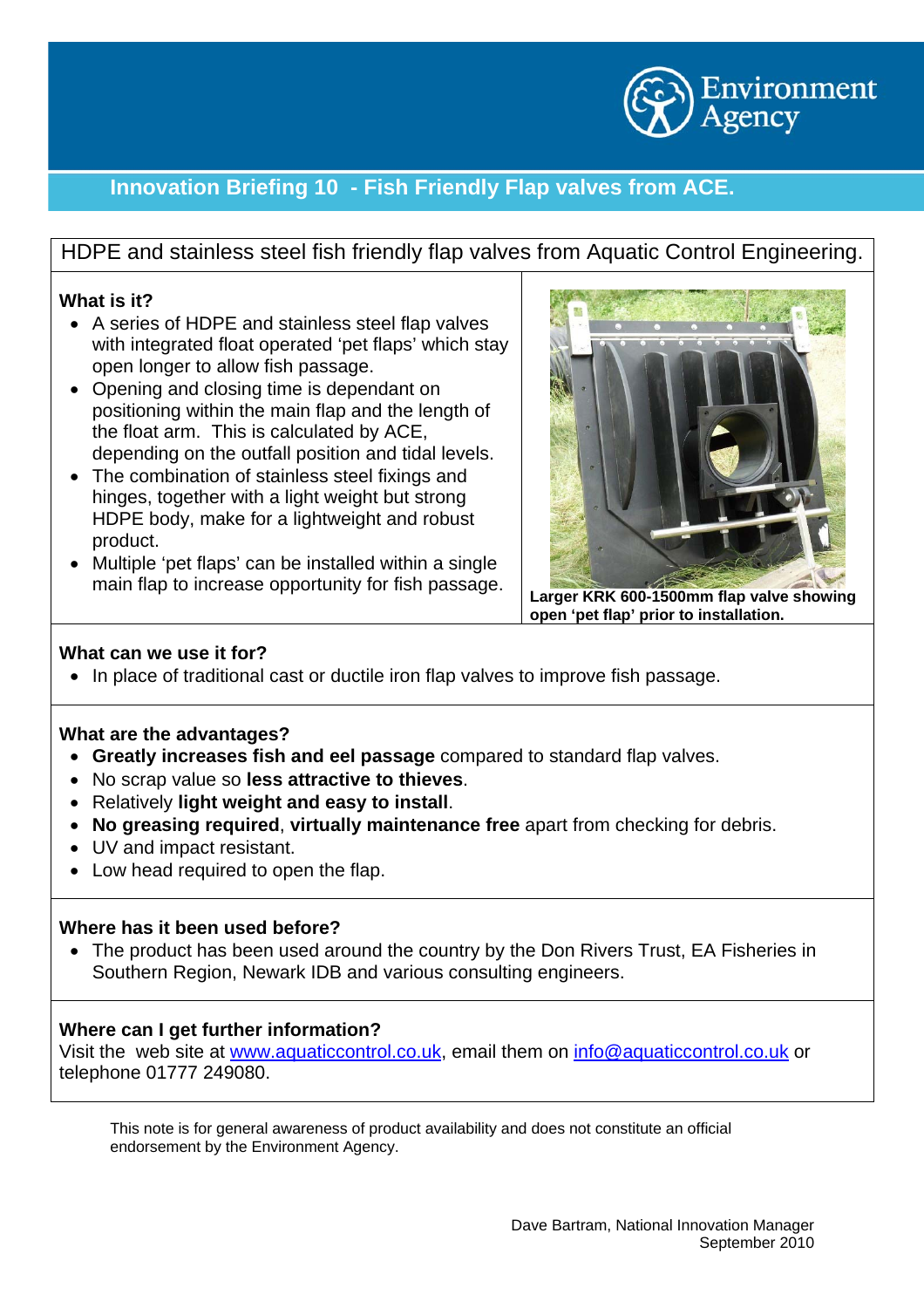

# **Innovation Briefing 10 - Fish Friendly Flap valves from ACE.**

HDPE and stainless steel fish friendly flap valves from Aquatic Control Engineering.

## **What is it?**

- A series of HDPE and stainless steel flap valves with integrated float operated 'pet flaps' which stay open longer to allow fish passage.
- Opening and closing time is dependant on positioning within the main flap and the length of the float arm. This is calculated by ACE, depending on the outfall position and tidal levels.
- The combination of stainless steel fixings and hinges, together with a light weight but strong HDPE body, make for a lightweight and robust product.
- Multiple 'pet flaps' can be installed within a single main flap to increase opportunity for fish passage. Larger KRK 600-1500mm flap valve showing



**open 'pet flap' prior to installation.** 

## **What can we use it for?**

• In place of traditional cast or ductile iron flap valves to improve fish passage.

## **What are the advantages?**

- **Greatly increases fish and eel passage** compared to standard flap valves.
- No scrap value so **less attractive to thieves**.
- Relatively **light weight and easy to install**.
- **No greasing required**, **virtually maintenance free** apart from checking for debris.
- UV and impact resistant.
- Low head required to open the flap.

### **Where has it been used before?**

• The product has been used around the country by the Don Rivers Trust, EA Fisheries in Southern Region, Newark IDB and various consulting engineers.

## **Where can I get further information?**

Visit the web site at [www.aquaticcontrol.co.uk](http://www.ibsengineeredproducts.com/), email them on [info@aquaticcontrol.co.uk](mailto:info@aquaticcontrol.co.uk) or telephone 01777 249080.

This note is for general awareness of product availability and does not constitute an official endorsement by the Environment Agency.